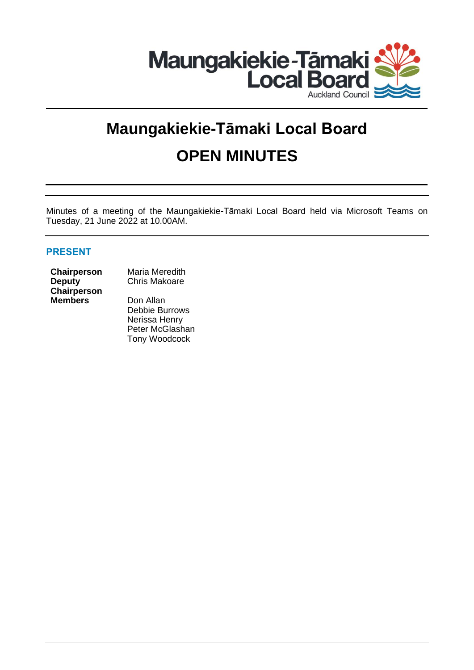

# **Maungakiekie-Tāmaki Local Board OPEN MINUTES**

Minutes of a meeting of the Maungakiekie-Tāmaki Local Board held via Microsoft Teams on Tuesday, 21 June 2022 at 10.00AM.

## **PRESENT**

**Deputy Chairperson Members** Don Allan

**Chairperson** Maria Meredith Chris Makoare

> Debbie Burrows Nerissa Henry Peter McGlashan Tony Woodcock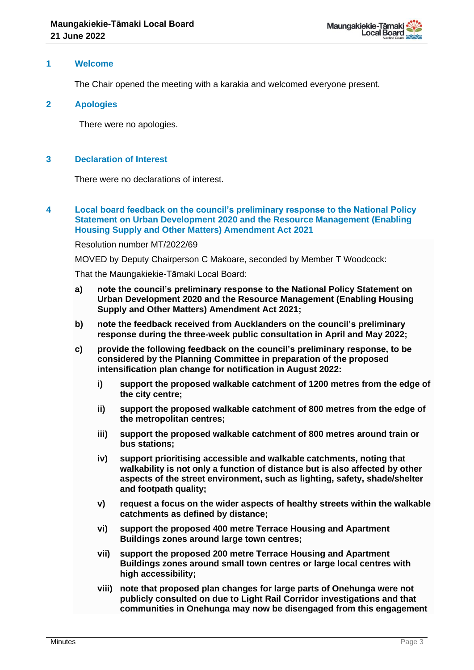#### **1 Welcome**

The Chair opened the meeting with a karakia and welcomed everyone present.

#### **2 Apologies**

There were no apologies.

#### **3 Declaration of Interest**

There were no declarations of interest.

**4 Local board feedback on the council's preliminary response to the National Policy Statement on Urban Development 2020 and the Resource Management (Enabling Housing Supply and Other Matters) Amendment Act 2021**

Resolution number MT/2022/69

MOVED by Deputy Chairperson C Makoare, seconded by Member T Woodcock:

That the Maungakiekie-Tāmaki Local Board:

- **a) note the council's preliminary response to the National Policy Statement on Urban Development 2020 and the Resource Management (Enabling Housing Supply and Other Matters) Amendment Act 2021;**
- **b) note the feedback received from Aucklanders on the council's preliminary response during the three-week public consultation in April and May 2022;**
- **c) provide the following feedback on the council's preliminary response, to be considered by the Planning Committee in preparation of the proposed intensification plan change for notification in August 2022:**
	- **i) support the proposed walkable catchment of 1200 metres from the edge of the city centre;**
	- **ii) support the proposed walkable catchment of 800 metres from the edge of the metropolitan centres;**
	- **iii) support the proposed walkable catchment of 800 metres around train or bus stations;**
	- **iv) support prioritising accessible and walkable catchments, noting that walkability is not only a function of distance but is also affected by other aspects of the street environment, such as lighting, safety, shade/shelter and footpath quality;**
	- **v) request a focus on the wider aspects of healthy streets within the walkable catchments as defined by distance;**
	- **vi) support the proposed 400 metre Terrace Housing and Apartment Buildings zones around large town centres;**
	- **vii) support the proposed 200 metre Terrace Housing and Apartment Buildings zones around small town centres or large local centres with high accessibility;**
	- **viii) note that proposed plan changes for large parts of Onehunga were not publicly consulted on due to Light Rail Corridor investigations and that communities in Onehunga may now be disengaged from this engagement**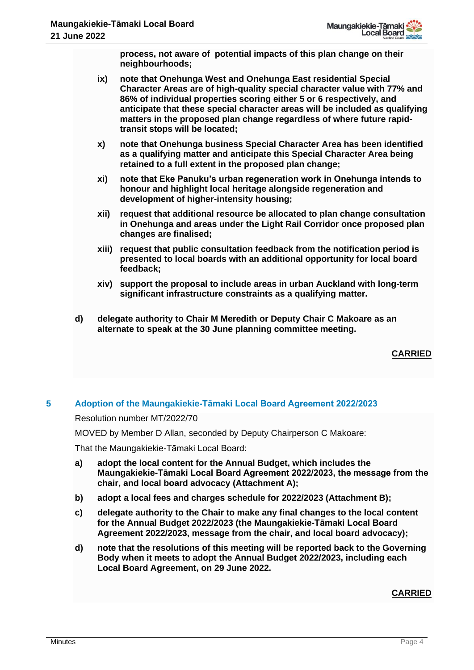

**process, not aware of potential impacts of this plan change on their neighbourhoods;**

- **ix) note that Onehunga West and Onehunga East residential Special Character Areas are of high-quality special character value with 77% and 86% of individual properties scoring either 5 or 6 respectively, and anticipate that these special character areas will be included as qualifying matters in the proposed plan change regardless of where future rapidtransit stops will be located;**
- **x) note that Onehunga business Special Character Area has been identified as a qualifying matter and anticipate this Special Character Area being retained to a full extent in the proposed plan change;**
- **xi) note that Eke Panuku's urban regeneration work in Onehunga intends to honour and highlight local heritage alongside regeneration and development of higher-intensity housing;**
- **xii) request that additional resource be allocated to plan change consultation in Onehunga and areas under the Light Rail Corridor once proposed plan changes are finalised;**
- **xiii) request that public consultation feedback from the notification period is presented to local boards with an additional opportunity for local board feedback;**
- **xiv) support the proposal to include areas in urban Auckland with long-term significant infrastructure constraints as a qualifying matter.**
- **d) delegate authority to Chair M Meredith or Deputy Chair C Makoare as an alternate to speak at the 30 June planning committee meeting.**

**CARRIED**

### **5 Adoption of the Maungakiekie-Tāmaki Local Board Agreement 2022/2023**

Resolution number MT/2022/70

MOVED by Member D Allan, seconded by Deputy Chairperson C Makoare:

That the Maungakiekie-Tāmaki Local Board:

- **a) adopt the local content for the Annual Budget, which includes the Maungakiekie-Tāmaki Local Board Agreement 2022/2023, the message from the chair, and local board advocacy (Attachment A);**
- **b) adopt a local fees and charges schedule for 2022/2023 (Attachment B);**
- **c) delegate authority to the Chair to make any final changes to the local content for the Annual Budget 2022/2023 (the Maungakiekie-Tāmaki Local Board Agreement 2022/2023, message from the chair, and local board advocacy);**
- **d) note that the resolutions of this meeting will be reported back to the Governing Body when it meets to adopt the Annual Budget 2022/2023, including each Local Board Agreement, on 29 June 2022.**

**CARRIED**